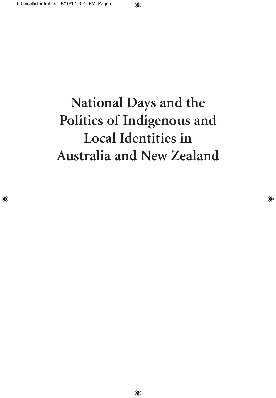# **National Days and the Politics of Indigenous and Local Identities in Australia and New Zealand**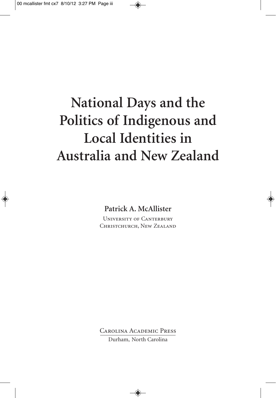## **National Days and the Politics of Indigenous and Local Identities in Australia and New Zealand**

**Patrick A. McAllister**

University of Canterbury Christchurch, New Zealand

Carolina Academic Press Durham, North Carolina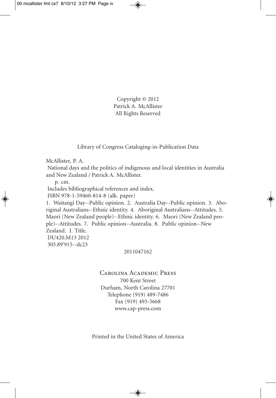Copyright © 2012 Patrick A. McAllister All Rights Reserved

Library of Congress Cataloging-in-Publication Data

McAllister, P. A.

National days and the politics of indigenous and local identities in Australia and New Zealand / Patrick A. McAllister.

p. cm.

Includes bibliographical references and index.

ISBN 978-1-59460-814-8 (alk. paper)

1. Waitangi Day--Public opinion. 2. Australia Day--Public opinion. 3. Aboriginal Australians--Ethnic identity. 4. Aboriginal Australians--Attitudes. 5. Maori (New Zealand people)--Ethnic identity. 6. Maori (New Zealand people)--Attitudes. 7. Public opinion--Australia. 8. Public opinion--New Zealand. I. Title. DU420.M13 2012 305.89'915--dc23

#### 2011047162

#### Carolina Academic Press 700 Kent Street Durham, North Carolina 27701 Telephone (919) 489-7486 Fax (919) 493-5668 www.cap-press.com

Printed in the United States of America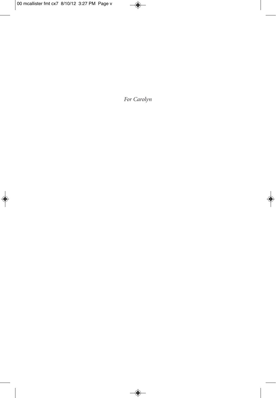*For Carolyn*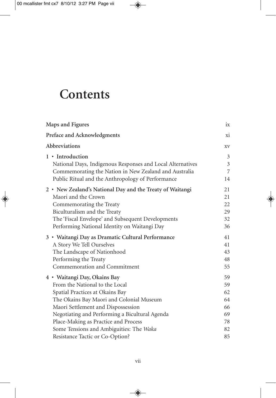## **Contents**

| Maps and Figures                                           |                |
|------------------------------------------------------------|----------------|
| Preface and Acknowledgments                                |                |
| Abbreviations                                              |                |
| 1 • Introduction                                           | 3              |
| National Days, Indigenous Responses and Local Alternatives | $\mathfrak{Z}$ |
| Commemorating the Nation in New Zealand and Australia      | 7              |
| Public Ritual and the Anthropology of Performance          | 14             |
| 2 • New Zealand's National Day and the Treaty of Waitangi  | 21             |
| Maori and the Crown                                        | 21             |
| Commemorating the Treaty                                   | 22             |
| Biculturalism and the Treaty                               | 29             |
| The 'Fiscal Envelope' and Subsequent Developments          | 32             |
| Performing National Identity on Waitangi Day               | 36             |
| 3 • Waitangi Day as Dramatic Cultural Performance          | 41             |
| A Story We Tell Ourselves                                  | 41             |
| The Landscape of Nationhood                                | 43             |
| Performing the Treaty                                      | 48             |
| Commemoration and Commitment                               | 55             |
| 4 · Waitangi Day, Okains Bay                               | 59             |
| From the National to the Local                             | 59             |
| Spatial Practices at Okains Bay                            | 62             |
| The Okains Bay Maori and Colonial Museum                   | 64             |
| Maori Settlement and Dispossession                         | 66             |
| Negotiating and Performing a Bicultural Agenda             | 69             |
| Place-Making as Practice and Process                       | 78             |
| Some Tensions and Ambiguities: The Waka                    | 82             |
| Resistance Tactic or Co-Option?                            | 85             |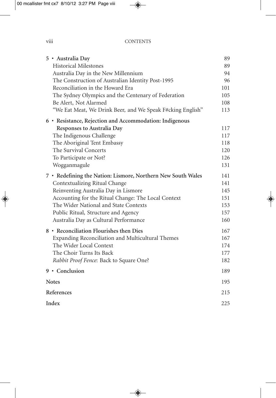### viii CONTENTS

|            | 5 · Australia Day                                            | 89  |
|------------|--------------------------------------------------------------|-----|
|            | <b>Historical Milestones</b>                                 | 89  |
|            | Australia Day in the New Millennium                          | 94  |
|            | The Construction of Australian Identity Post-1995            | 96  |
|            | Reconciliation in the Howard Era                             | 101 |
|            | The Sydney Olympics and the Centenary of Federation          | 105 |
|            | Be Alert, Not Alarmed                                        | 108 |
|            | "We Eat Meat, We Drink Beer, and We Speak F#cking English"   | 113 |
|            | 6 • Resistance, Rejection and Accommodation: Indigenous      |     |
|            | Responses to Australia Day                                   | 117 |
|            | The Indigenous Challenge                                     | 117 |
|            | The Aboriginal Tent Embassy                                  | 118 |
|            | The Survival Concerts                                        | 120 |
|            | To Participate or Not?                                       | 126 |
|            | Wogganmagule                                                 | 131 |
|            | 7 • Redefining the Nation: Lismore, Northern New South Wales | 141 |
|            | Contextualizing Ritual Change                                | 141 |
|            | Reinventing Australia Day in Lismore                         | 145 |
|            | Accounting for the Ritual Change: The Local Context          | 151 |
|            | The Wider National and State Contexts                        | 153 |
|            | Public Ritual, Structure and Agency                          | 157 |
|            | Australia Day as Cultural Performance                        | 160 |
|            | 8 • Reconciliation Flourishes then Dies                      | 167 |
|            | Expanding Reconciliation and Multicultural Themes            | 167 |
|            | The Wider Local Context                                      | 174 |
|            | The Choir Turns Its Back                                     | 177 |
|            | Rabbit Proof Fence: Back to Square One?                      | 182 |
|            | 9 · Conclusion                                               | 189 |
|            | <b>Notes</b>                                                 | 195 |
| References |                                                              | 215 |
|            | Index                                                        | 225 |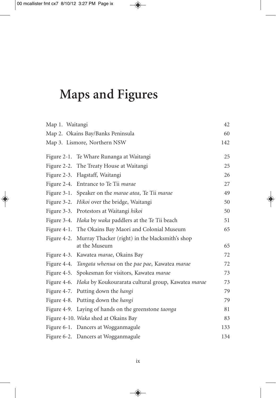## **Maps and Figures**

| Map 1. Waitangi |                                                                              | 42  |
|-----------------|------------------------------------------------------------------------------|-----|
|                 | Map 2. Okains Bay/Banks Peninsula                                            | 60  |
|                 | Map 3. Lismore, Northern NSW                                                 | 142 |
|                 | Figure 2-1. Te Whare Runanga at Waitangi                                     | 25  |
|                 | Figure 2-2. The Treaty House at Waitangi                                     | 25  |
|                 | Figure 2-3. Flagstaff, Waitangi                                              | 26  |
|                 | Figure 2-4. Entrance to Te Tii marae                                         | 27  |
| Figure $3-1$ .  | Speaker on the <i>marae atea</i> , Te Tii <i>marae</i>                       | 49  |
|                 | Figure 3-2. Hikoi over the bridge, Waitangi                                  | 50  |
|                 | Figure 3-3. Protestors at Waitangi hikoi                                     | 50  |
|                 | Figure 3-4. <i>Haka</i> by <i>waka</i> paddlers at the Te Tii beach          | 51  |
|                 | Figure 4-1. The Okains Bay Maori and Colonial Museum                         | 65  |
|                 | Figure 4-2. Murray Thacker (right) in the blacksmith's shop<br>at the Museum | 65  |
|                 | Figure 4-3. Kawatea <i>marae</i> , Okains Bay                                | 72  |
|                 | Figure 4-4. Tangata whenua on the pae pae, Kawatea marae                     | 72  |
|                 | Figure 4-5. Spokesman for visitors, Kawatea <i>marae</i>                     | 73  |
|                 | Figure 4-6. Haka by Koukourarata cultural group, Kawatea marae               | 73  |
|                 | Figure 4-7. Putting down the hangi                                           | 79  |
|                 | Figure 4-8. Putting down the hangi                                           | 79  |
|                 | Figure 4-9. Laying of hands on the greenstone taonga                         | 81  |
|                 | Figure 4-10. Waka shed at Okains Bay                                         | 83  |
|                 | Figure 6-1. Dancers at Wogganmagule                                          | 133 |
|                 | Figure 6-2. Dancers at Wogganmagule                                          | 134 |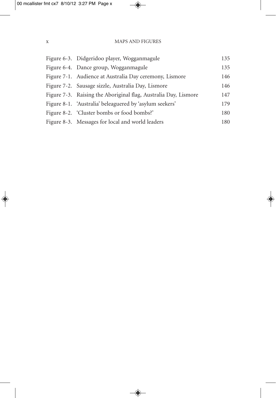| Figure 6-3. Didgeridoo player, Wogganmagule                     | 135 |
|-----------------------------------------------------------------|-----|
| Figure 6-4. Dance group, Wogganmagule                           | 135 |
| Figure 7-1. Audience at Australia Day ceremony, Lismore         | 146 |
| Figure 7-2. Sausage sizzle, Australia Day, Lismore              | 146 |
| Figure 7-3. Raising the Aboriginal flag, Australia Day, Lismore | 147 |
| Figure 8-1. 'Australia' beleaguered by 'asylum seekers'         | 179 |
| Figure 8-2. 'Cluster bombs or food bombs?'                      | 180 |
| Figure 8-3. Messages for local and world leaders                | 180 |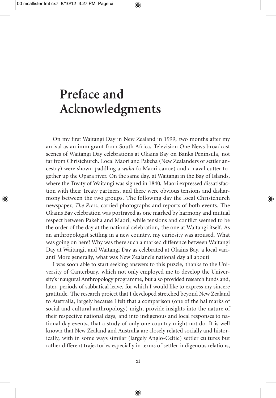## **Preface and Acknowledgments**

On my first Waitangi Day in New Zealand in 1999, two months after my arrival as an immigrant from South Africa, Television One News broadcast scenes of Waitangi Day celebrations at Okains Bay on Banks Peninsula, not far from Christchurch. Local Maori and Pakeha (New Zealanders of settler ancestry) were shown paddling a *waka* (a Maori canoe) and a naval cutter together up the Opara river. On the same day, at Waitangi in the Bay of Islands, where the Treaty of Waitangi was signed in 1840, Maori expressed dissatisfaction with their Treaty partners, and there were obvious tensions and disharmony between the two groups. The following day the local Christchurch newspaper, *The Press*, carried photographs and reports of both events. The Okains Bay celebration was portrayed as one marked by harmony and mutual respect between Pakeha and Maori, while tensions and conflict seemed to be the order of the day at the national celebration, the one at Waitangi itself. As an anthropologist settling in a new country, my curiosity was aroused. What was going on here? Why was there such a marked difference between Waitangi Day at Waitangi, and Waitangi Day as celebrated at Okains Bay, a local variant? More generally, what was New Zealand's national day all about?

I was soon able to start seeking answers to this puzzle, thanks to the University of Canterbury, which not only employed me to develop the University's inaugural Anthropology programme, but also provided research funds and, later, periods of sabbatical leave, for which I would like to express my sincere gratitude. The research project that I developed stretched beyond New Zealand to Australia, largely because I felt that a comparison (one of the hallmarks of social and cultural anthropology) might provide insights into the nature of their respective national days, and into indigenous and local responses to national day events, that a study of only one country might not do. It is well known that New Zealand and Australia are closely related socially and historically, with in some ways similar (largely Anglo-Celtic) settler cultures but rather different trajectories especially in terms of settler-indigenous relations,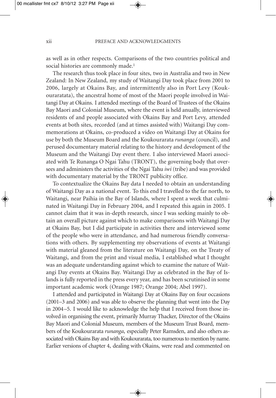as well as in other respects. Comparisons of the two countries political and social histories are commonly made. 1

The research thus took place in four sites, two in Australia and two in New Zealand: In New Zealand, my study of Waitangi Day took place from 2001 to 2006, largely at Okains Bay, and intermittently also in Port Levy (Koukouraratata), the ancestral home of most of the Maori people involved in Waitangi Day at Okains. I attended meetings of the Board of Trustees of the Okains Bay Maori and Colonial Museum, where the event is held anually, interviewed residents of and people associated with Okains Bay and Port Levy, attended events at both sites, recorded (and at times assisted with) Waitangi Day commemorations at Okains, co-produced a video on Waitangi Day at Okains for use by both the Museum Board and the Koukourarata *runanga* (council), and perused documentary material relating to the history and development of the Museum and the Waitangi Day event there. I also interviewed Maori associated with Te Runanga O Ngai Tahu (TRONT), the governing body that oversees and administers the activities of the Ngai Tahu *iwi* (tribe) and was provided with documentary material by the TRONT publicity office.

To contextualize the Okains Bay data I needed to obtain an understanding of Waitangi Day as a national event. To this end I travelled to the far north, to Waitangi, near Paihia in the Bay of Islands, where I spent a week that culminated in Waitangi Day in February 2004, and I repeated this again in 2005. I cannot claim that it was in-depth research, since I was seeking mainly to obtain an overall picture against which to make comparisons with Waitangi Day at Okains Bay, but I did participate in activities there and interviewed some of the people who were in attendance, and had numerous friendly conversations with others. By supplementing my observations of events at Waitangi with material gleaned from the literature on Waitangi Day, on the Treaty of Waitangi, and from the print and visual media, I established what I thought was an adequate understanding against which to examine the nature of Waitangi Day events at Okains Bay. Waitangi Day as celebrated in the Bay of Islands is fully reported in the press every year, and has been scrutinised in some important academic work (Orange 1987; Orange 2004; Abel 1997).

I attended and participated in Waitangi Day at Okains Bay on four occasions (2001–3 and 2006) and was able to observe the planning that went into the Day in 2004–5. I would like to acknowledge the help that I received from those involved in organising the event, primarily Murray Thacker, Director of the Okains Bay Maori and Colonial Museum, members of the Museum Trust Board, members of the Koukourarata *runanga*, especially Peter Ramsden, and also others associated with Okains Bay and with Koukourarata, too numerous to mention by name. Earlier versions of chapter 4, dealing with Okains, were read and commented on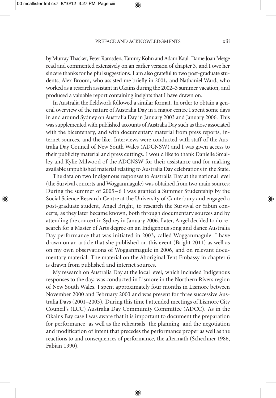by Murray Thacker, Peter Ramsden, Tammy Kohn and Adam Kaul. Dame Joan Metge read and commented extensively on an earlier version of chapter 3, and I owe her sincere thanks for helpful suggestions. I am also grateful to two post-graduate students, Alex Broom, who assisted me briefly in 2001, and Nathaniel Ward, who worked as a research assistant in Okains during the 2002–3 summer vacation, and produced a valuable report containing insights that I have drawn on.

In Australia the fieldwork followed a similar format. In order to obtain a general overview of the nature of Australia Day in a major centre I spent some days in and around Sydney on Australia Day in January 2003 and January 2006. This was supplemented with published accounts of Australia Day such as those associated with the bicentenary, and with documentary material from press reports, internet sources, and the like. Interviews were conducted with staff of the Australia Day Council of New South Wales (ADCNSW) and I was given access to their publicity material and press cuttings. I would like to thank Danielle Smalley and Kylie Milwood of the ADCNSW for their assistance and for making available unpublished material relating to Australia Day celebrations in the State.

The data on two Indigenous responses to Australia Day at the national level (the Survival concerts and Wogganmagule) was obtained from two main sources: During the summer of 2005–6 I was granted a Summer Studentship by the Social Science Research Centre at the University of Canterbury and engaged a post-graduate student, Angel Bright, to research the Survival or Yabun concerts, as they later became known, both through documentary sources and by attending the concert in Sydney in January 2006. Later, Angel decided to do research for a Master of Arts degree on an Indigenous song and dance Australia Day performance that was initiated in 2003, called Wogganmagule. I have drawn on an article that she published on this event (Bright 2011) as well as on my own observations of Wogganmagule in 2006, and on relevant documentary material. The material on the Aboriginal Tent Embassy in chapter 6 is drawn from published and internet sources.

My research on Australia Day at the local level, which included Indigenous responses to the day, was conducted in Lismore in the Northern Rivers region of New South Wales. I spent approximately four months in Lismore between November 2000 and February 2003 and was present for three successive Australia Days (2001–2003). During this time I attended meetings of Lismore City Council's (LCC) Australia Day Community Committee (ADCC). As in the Okains Bay case I was aware that it is important to document the preparation for performance, as well as the rehearsals, the planning, and the negotiation and modification of intent that precedes the performance proper as well as the reactions to and consequences of performance, the aftermath (Schechner 1986, Fabian 1990).